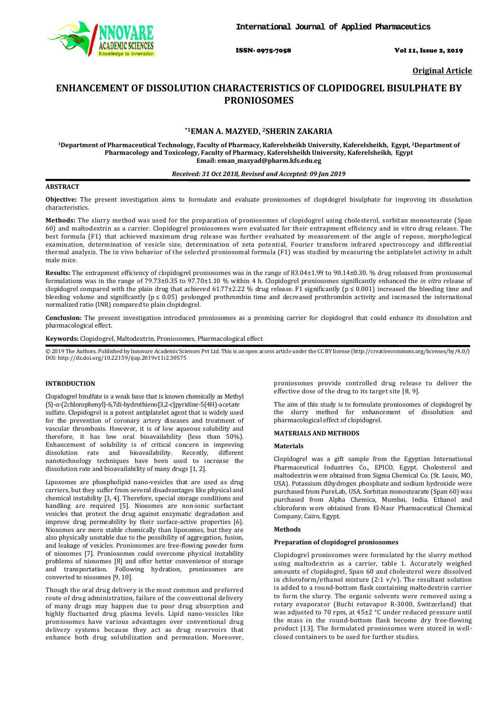

ISSN- 0975-7058 Vol 11, Issue 2, 2019

**Original Article**

# **ENHANCEMENT OF DISSOLUTION CHARACTERISTICS OF CLOPIDOGREL BISULPHATE BY PRONIOSOMES**

# **\*1EMAN A. MAZYED, 2SHERIN ZAKARIA**

**1Department of Pharmaceutical Technology, Faculty of Pharmacy, Kaferelsheikh University, Kaferelsheikh, Egypt, 2 Department of Pharmacology and Toxicology, Faculty of Pharmacy, Kaferelsheikh University, Kaferelsheikh, Egypt Email: eman\_mazyad@pharm.kfs.edu.eg**

# *Received: 31 Oct 2018, Revised and Accepted: 09 Jan 2019*

# **ABSTRACT**

**Objective:** The present investigation aims to formulate and evaluate proniosomes of clopidogrel bisulphate for improving its dissolution characteristics.

**Methods:** The slurry method was used for the preparation of proniosomes of clopidogrel using cholesterol, sorbitan monostearate (Span 60) and maltodextrin as a carrier. Clopidogrel proniosomes were evaluated for their entrapment efficiency and in vitro drug release. The best formula (F1) that achieved maximum drug release was further evaluated by measurement of the angle of repose, morphological examination, determination of vesicle size, determination of zeta potential, Fourier transform infrared spectroscopy and differential thermal analysis. The in vivo behavior of the selected proniosomal formula (F1) was studied by measuring the antiplatelet activity in adult male mice.

**Results:** The entrapment efficiency of clopidogrel proniosomes was in the range of 83.04±1.99 to 90.14±0.30. % drug released from proniosomal formulations was in the range of 79.73±0.35 to 97.70±1.10 % within 4 h. Clopidogrel proniosomes significantly enhanced the *in vitro* release of clopidogrel compared with the plain drug that achieved 61.77±2.22 % drug release. F1 significantly ( $p \le 0.001$ ) increased the bleeding time and bleeding volume and significantly ( $p \le 0.05$ ) prolonged prothrombin time and decreased prothrombin activity and increased the international normalized ratio (INR) compared to plain clopidogrel.

**Conclusion:** The present investigation introduced proniosomes as a promising carrier for clopidogrel that could enhance its dissolution and pharmacological effect.

**Keywords:** Clopidogrel, Maltodextrin, Proniosomes, Pharmacological effect

© 2019 The Authors. Published by Innovare Academic Sciences Pvt Ltd. This is an open access article under the CC BY license [\(http://creativecommons.org/licenses/by/4.0/\)](http://creativecommons.org/licenses/by/4.0/) DOI: http://dx.doi.org/10.22159/ijap.2019v11i2.30575

# **INTRODUCTION**

Clopidogrel bisulfate is a weak base that is known chemically as Methyl (S)-α-(2chlorophenyl)-6,7di-hydrothieno[3,2-c]pyridine-5(4H)-acetate sulfate. Clopidogrel is a potent antiplatelet agent that is widely used for the prevention of coronary artery diseases and treatment of vascular thrombosis. However, it is of low aqueous solubility and therefore, it has low oral bioavailability (less than 50%). Enhancement of solubility is of critical concern in improving dissolution rate and bioavailability. Recently, different nanotechnology techniques have been used to increase the dissolution rate and bioavailability of many drugs [1, 2].

Liposomes are phospholipid nano-vesicles that are used as drug carriers, but they suffer from several disadvantages like physical and chemical instability [3, 4]. Therefore, special storage conditions and handling are required [5]. Niosomes are non-ionic surfactant vesicles that protect the drug against enzymatic degradation and improve drug permeability by their surface-active properties [6]. Niosomes are more stable chemically than liposomes, but they are also physically unstable due to the possibility of aggregation, fusion, and leakage of vesicles. Proniosomes are free-flowing powder form of niosomes [7]. Proniosomes could overcome physical instability problems of niosomes [8] and offer better convenience of storage and transportation. Following hydration, proniosomes are converted to niosomes [9, 10].

Though the oral drug delivery is the most common and preferred route of drug administration, failure of the conventional delivery of many drugs may happen due to poor drug absorption and highly fluctuated drug plasma levels. Lipid nano-vesicles like proniosomes have various advantages over conventional drug delivery systems because they act as drug reservoirs that enhance both drug solubilization and permeation. Moreover,

proniosomes provide controlled drug release to deliver the effective dose of the drug to its target site [8, 9].

The aim of this study is to formulate proniosomes of clopidogrel by the slurry method for enhancement of dissolution and pharmacological effect of clopidogrel.

# **MATERIALS AND METHODS**

#### **Materials**

Clopidogrel was a gift sample from the Egyptian International Pharmaceutical Industries Co., EPICO, Egypt. Cholesterol and maltodextrin were obtained from Sigma Chemical Co. (St. Louis, MO, USA). Potassium dihydrogen phosphate and sodium hydroxide were purchased from PureLab, USA. Sorbitan monostearate (Span 60) was purchased from Alpha Chemica, Mumbai, India. Ethanol and chloroform were obtained from El-Nasr Pharmaceutical Chemical Company, Cairo, Egypt.

# **Methods**

# **Preparation of clopidogrel proniosomes**

Clopidogrel proniosomes were formulated by the slurry method using maltodextrin as a carrier, table 1. Accurately weighed amounts of clopidogrel, Span 60 and cholesterol were dissolved in chloroform/ethanol mixture  $(2:1 \text{ v/v})$ . The resultant solution is added to a round-bottom flask containing maltodextrin carrier to form the slurry. The organic solvents were removed using a rotary evaporator (Buchi rotavapor R-3000, Switzerland) that was adjusted to 70 rpm, at 45±2 °C under reduced pressure until the mass in the round-bottom flask become dry free-flowing product [13]. The formulated proniosomes were stored in wellclosed containers to be used for further studies.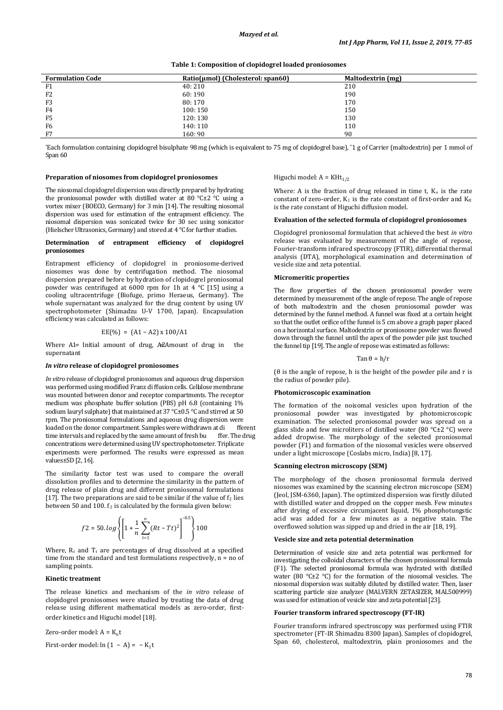**Table 1: Composition of clopidogrel loaded proniosomes**

| <b>Formulation Code</b> | Ratio(µmol) (Cholesterol: span60) | <b>Maltodextrin (mg)</b> |
|-------------------------|-----------------------------------|--------------------------|
| F1                      | 40:210                            | 210                      |
| F <sub>2</sub>          | 60:190                            | 190                      |
| F <sub>3</sub>          | 80:170                            | 170                      |
| F4                      | 100: 150                          | 150                      |
| F <sub>5</sub>          | 120: 130                          | 130                      |
| F <sub>6</sub>          | 140: 110                          | 110                      |
| F7                      | 160:90                            | 90                       |

\* Each formulation containin[g clopidogrel](https://www.sciencedirect.com/topics/pharmacology-toxicology-and-pharmaceutical-science/risperidone) bisulphate 98 mg (which is equivalent to 75 mg of clopidogrel base), \* 1 g of Carrier (maltodextrin) per 1 mmol of Span 60

#### **Preparation of niosomes from clopidogrel proniosomes**

The niosomal clopidogrel dispersion was directly prepared by hydrating the proniosomal powder with distilled water at 80 °C±2 °C using a vortex mixer (BOECO, Germany) for 3 min [14]. The resulting niosomal dispersion was used for estimation of the entrapment efficiency. The niosomal dispersion was sonicated twice for 30 sec using sonicator (Hielscher Ultrasonics, Germany) and stored at 4 °C for further studies.

### **Determination of entrapment efficiency of clopidogrel proniosomes**

Entrapment efficiency of clopidogrel in proniosome-derived niosomes was done by centrifugation method. The niosomal dispersion prepared before by hydration of clopidogrel proniosomal powder was centrifuged at 6000 rpm for 1h at 4 °C [15] using a cooling ultracentrifuge (Biofuge, primo Heraeus, Germany). The whole supernatant was analyzed for the drug content by using UV spectrophotometer (Shimadzu U-V 1700, Japan). Encapsulation efficiency was calculated as follows:

# $EE(\%) = (A1 - A2) \times 100 / A1$

Where  $A1=$  Initial amount of drug,  $A2A$ mount of drug in the supernatant

# *In vitro* **release of clopidogrel proniosomes**

*In vitro* release of clopidogrel proniosomes and aqueous drug dispersion was performed using modified Franz di ffusion cells. Cellulose membrane was mounted between donor and receptor compartments. The receptor medium was phosphate buffer solution (PBS) pH 6.8 (containing 1% sodium lauryl sulphate) that maintained at 37 °C±0.5 °C and stirred at 50 rpm. The proniosomal formulations and aqueous drug dispersion were<br>loaded on the donor compartment. Samples were withdrawn at di<br>ferent loaded on the donor compartment. Samples were withdrawn at different time intervals and replaced by the same amount of fresh bu time intervals and replaced by the same amount of fresh bu concentrations were determined using UV spectrophotometer. Triplicate experiments were performed. The results were expressed as mean values±SD [2, 16].

The similarity factor test was used to compare the overall dissolution profiles and to determine the similarity in the pattern of drug release of plain drug and different proniosomal formulations [17]. The two preparations are said to be similar if the value of  $f_2$  lies between 50 and 100. f<sub>2</sub> is calculated by the formula given below:

$$
f2 = 50 \cdot \log \left\{ \left[ 1 + \frac{1}{n} \sum_{t=1}^{n} (Rt - Tt)^2 \right]^{-0.5} \right\} 100
$$

Where, R<sub>t</sub> and T<sub>t</sub> are percentages of drug dissolved at a specified time from the standard and test formulations respectively,  $n = no$  of sampling points.

# **Kinetic treatment**

The release kinetics and mechanism of the *in vitro* release of clopidogrel proniosomes were studied by treating the data of drug release using different mathematical models as zero-order, firstorder kinetics and Higuchi model [18].

Zero-order model:  $A = K_0 t$ 

First-order model:  $ln(1 - A) = -K_1t$ 

#### Higuchi model:  $A = KHt_{1/2}$

Where: A is the fraction of drug released in time t,  $K_0$  is the rate constant of zero-order, K<sub>1</sub> is the rate constant of first-order and K<sub>H</sub> is the rate constant of Higuchi diffusion model.

# **Evaluation of the selected formula of clopidogrel proniosomes**

Clopidogrel proniosomal formulation that achieved the best *in vitro* release was evaluated by measurement of the angle of repose, Fourier-transform infrared spectroscopy (FTIR), differential thermal analysis (DTA), morphological examination and determination of vesicle size and zeta potential.

# **Micromeritic properties**

The flow properties of the chosen proniosomal powder were determined by measurement of the angle of repose. The angle of repose of both maltodextrin and the chosen proniosomal powder was determined by the funnel method. A funnel was fixed at a certain height so that the outlet orifice of the funnel is 5 cm above a graph paper placed on a horizontal surface. Maltodextrin or proniosome powder was flowed down through the funnel until the apex of the powder pile just touched the funnel tip [19]. The angle of repose was estimated as follows:

#### $Tan \theta = h/r$

(θ is the angle of repose, h is the height of the powder pile and r is the radius of powder pile).

#### **Photomicroscopic examination**

The formation of the noisomal vesicles upon hydration of the proniosomal powder was investigated by photomicroscopic examination. The selected proniosomal powder was spread on a glass slide and few microliters of distilled water (80 °C±2 °C) were added dropwise. The morphology of the selected proniosomal powder (F1) and formation of the niosomal vesicles were observed under a light microscope (Coslabs micro, India) [8, 17].

# **Scanning electron microscopy (SEM)**

The morphology of the chosen proniosomal formula derived niosomes was examined by the scanning electron microscope (SEM) (Jeol, JSM-6360, Japan). The optimized dispersion was firstly diluted with distilled water and dropped on the copper mesh. Few minutes after drying of excessive circumjacent liquid, 1% phosphotungstic acid was added for a few minutes as a negative stain. The overflowed solution was sipped up and dried in the air [18, 19].

#### **Vesicle size and zeta potential determination**

Determination of vesicle size and zeta potential was performed for investigating the colloidal characters of the chosen proniosomal formula (F1). The selected proniosomal formula was hydrated with distilled water (80 °C±2 °C) for the formation of the niosomal vesicles. The niosomal dispersion was suitably diluted by distilled water. Then, laser scattering particle size analyzer (MALVERN ZETASIZER, MAL500999) was used for estimation of vesicle size and zeta potential[23].

# **Fourier transform infrared spectroscopy (FT-IR)**

Fourier transform infrared spectroscopy was performed using FTIR spectrometer (FT-IR Shimadzu 8300 Japan). Samples of clopidogrel, Span 60, cholesterol, maltodextrin, plain proniosomes and the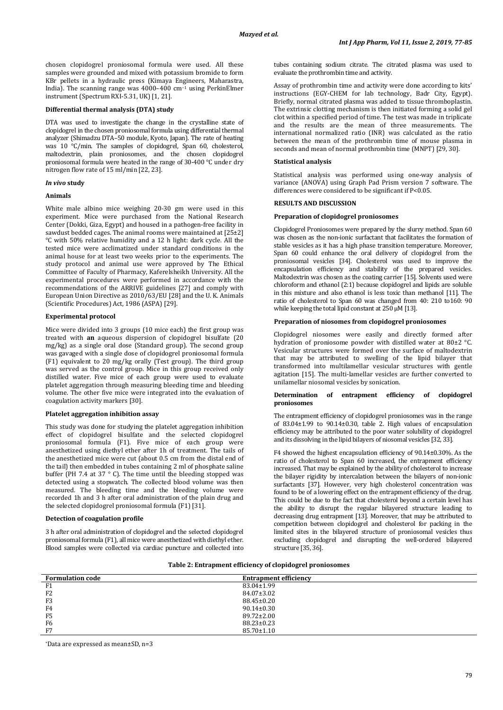chosen clopidogrel proniosomal formula were used. All these samples were grounded and mixed with potassium bromide to form KBr pellets in a hydraulic press (Kimaya Engineers, Maharastra, India). The scanning range was 4000–400 cm<sup>−</sup><sup>1</sup> using PerkinElmer instrument (Spectrum RXI-5.31, UK) [1, 21].

#### **Differential thermal analysis (DTA) study**

DTA was used to investigate the change in the crystalline state of clopidogrel in the chosen proniosomal formula using differential thermal analyzer (Shimadzu DTA–50 module, Kyoto, Japan). The rate of heating was 10 °C/min. The samples of clopidogrel, Span 60, cholesterol, maltodextrin, plain proniosomes, and the chosen clopidogrel proniosomal formula were heated in the range of 30-400 °C under dry nitrogen flow rate of 15 ml/min [22, 23].

# *In vivo* **study**

#### **Animals**

White male albino mice weighing 20-30 gm were used in this experiment. Mice were purchased from the National Research Center (Dokki, Giza, Egypt) and housed in a pathogen-free facility in sawdust bedded cages. The animal rooms were maintained at [25±2] °C with 50% relative humidity and a 12 h light: dark cycle. All the tested mice were acclimatized under standard conditions in the animal house for at least two weeks prior to the experiments. The study protocol and animal use were approved by The Ethical Committee of Faculty of Pharmacy, Kaferelsheikh University. All the experimental procedures were performed in accordance with the recommendations of the ARRIVE guidelines [27] and comply with European Union Directive as 2010/63/EU [28] and the U. K. Animals (Scientific Procedures) Act, 1986 (ASPA) [29].

#### **Experimental protocol**

Mice were divided into 3 groups (10 mice each) the first group was treated with **an** aqueous dispersion of clopidogrel bisulfate (20 mg/kg) as a single oral dose (Standard group). The second group was gavaged with a single dose of clopidogrel proniosomal formula (F1) equivalent to 20 mg/kg orally (Test group). The third group was served as the control group. Mice in this group received only distilled water. Five mice of each group were used to evaluate platelet aggregation through measuring bleeding time and bleeding volume. The other five mice were integrated into the evaluation of coagulation activity markers [30].

# **Platelet aggregation inhibition assay**

This study was done for studying the platelet aggregation inhibition effect of clopidogrel bisulfate and the selected clopidogrel proniosomal formula (F1). Five mice of each group were anesthetized using diethyl ether after 1h of treatment. The tails of the anesthetized mice were cut (about 0.5 cm from the distal end of the tail) then embedded in tubes containing 2 ml of phosphate saline buffer (PH 7.4 at 37 ° C). The time until the bleeding stopped was detected using a stopwatch. The collected blood volume was then measured. The bleeding time and the bleeding volume were recorded 1h and 3 h after oral administration of the plain drug and the selected clopidogrel proniosomal formula (F1) [31].

#### **Detection of coagulation profile**

3 h after oral administration of clopidogrel and the selected clopidogrel proniosomal formula (F1), all mice were anesthetized with diethyl ether. Blood samples were collected via cardiac puncture and collected into tubes containing sodium citrate. The citrated plasma was used to evaluate the prothrombin time and activity.

Assay of prothrombin time and activity were done according to kits' instructions (EGY-CHEM for lab technology, Badr City, Egypt). Briefly, normal citrated plasma was added to tissue thromboplastin. The extrinsic clotting mechanism is then initiated forming a solid gel clot within a specified period of time. The test was made in triplicate and the results are the mean of three measurements. The international normalized ratio (INR) was calculated as the ratio between the mean of the prothrombin time of mouse plasma in seconds and mean of normal prothrombin time (MNPT) [29, 30].

# **Statistical analysis**

Statistical analysis was performed using one-way analysis of variance (ANOVA) using Graph Pad Prism version 7 software. The differences were considered to be significant if P<0.05.

#### **RESULTS AND DISCUSSION**

#### **Preparation of clopidogrel proniosomes**

Clopidogrel Proniosomes were prepared by the slurry method. Span 60 was chosen as the non-ionic surfactant that facilitates the formation of stable vesicles as it has a high phase transition temperature. Moreover, Span 60 could enhance the oral delivery of clopidogrel from the proniosomal vesicles [34]. Cholesterol was used to improve the encapsulation efficiency and stability of the prepared vesicles. Maltodextrin was chosen as the coating carrier [15]. Solvents used were chloroform and ethanol (2:1) because clopidogrel and lipids are soluble in this mixture and also ethanol is less toxic than methanol [11]. The ratio of cholesterol to Span 60 was changed from 40: 210 to160: 90 while keeping the total lipid constant at 250 µM [13].

#### **Preparation of niosomes from clopidogrel proniosomes**

Clopidogrel niosomes were easily and directly formed after hydration of proniosome powder with distilled water at 80±2 °C. Vesicular structures were formed over the surface of maltodextrin that may be attributed to swelling of the lipid bilayer that transformed into multilamellar vesicular structures with gentle agitation [15]. The multi-lamellar vesicles are further converted to unilamellar niosomal vesicles by sonication.

#### **Determination of entrapment efficiency of clopidogrel proniosomes**

The entrapment efficiency of clopidogrel proniosomes was in the range of 83.04±1.99 to 90.14±0.30, table 2. High values of encapsulation efficiency may be attributed to the poor water solubility of clopidogrel and its dissolving in the lipid bilayers of niosomal vesicles [32, 33].

F4 showed the highest encapsulation efficiency of 90.14±0.30%. As the ratio of cholesterol to Span 60 increased, the entrapment efficiency increased. That may be explained by the ability of cholesterol to increase the bilayer rigidity by intercalation between the bilayers of non-ionic surfactants [37]. However, very high cholesterol concentration was found to be of a lowering effect on the entrapment efficiency of the drug. This could be due to the fact that cholesterol beyond a certain level has the ability to disrupt the regular bilayered structure leading to decreasing drug entrapment [13]. Moreover, that may be attributed to competition between clopidogrel and cholesterol for packing in the limited sites in the bilayered structure of proniosomal vesicles thus excluding clopidogrel and disrupting the well-ordered bilayered structure [35, 36].

| Table 2: Entrapment efficiency of clopidogrel proniosomes |  |  |
|-----------------------------------------------------------|--|--|
|-----------------------------------------------------------|--|--|

| <b>Formulation code</b> | <b>Entrapment efficiency</b> |  |
|-------------------------|------------------------------|--|
| F1                      | 83.04±1.99                   |  |
| F <sub>2</sub>          | 84.07±3.02                   |  |
| F <sub>3</sub>          | 88.45±0.20                   |  |
| F <sub>4</sub>          | $90.14 \pm 0.30$             |  |
| F <sub>5</sub>          | $89.72 \pm 2.00$             |  |
| F <sub>6</sub>          | $88.23 \pm 0.23$             |  |
| F7                      | $85.70 \pm 1.10$             |  |

\*Data are expressed as mean±SD, n=3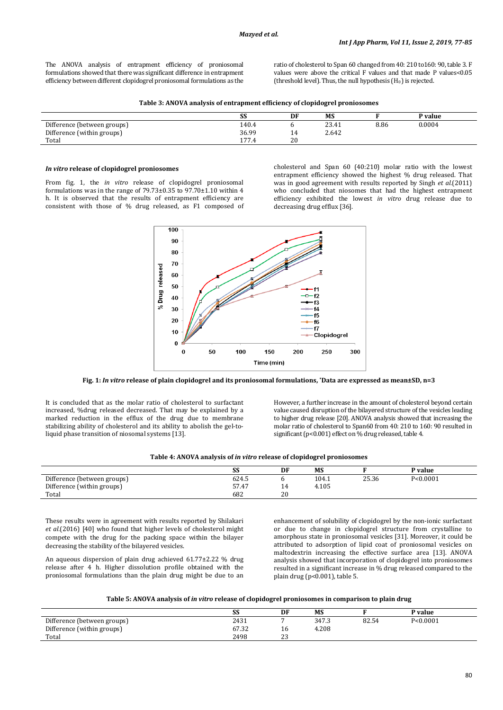The ANOVA analysis of entrapment efficiency of proniosomal formulations showed that there was significant difference in entrapment efficiency between different clopidogrel proniosomal formulations as the ratio of cholesterol to Span 60 changed from 40: 210 to160: 90, table 3. F values were above the critical F values and that made P values<0.05 (threshold level). Thus, the null hypothesis  $(H_0)$  is rejected.

| Table 3: ANOVA analysis of entrapment efficiency of clopidogrel proniosomes |  |  |
|-----------------------------------------------------------------------------|--|--|
|                                                                             |  |  |

|                             | SS         | DF  | <b>MS</b> |      | P value |
|-----------------------------|------------|-----|-----------|------|---------|
| Difference (between groups) | 140.4      |     | 23.41     | 8.86 | 0.0004  |
| Difference (within groups)  | 36.99      | . . | 2.642     |      |         |
| Total                       | 177<br>7.4 | 20  |           |      |         |

#### *In vitro* **release of clopidogrel proniosomes**

From fig. 1, the *in vitro* release of clopidogrel proniosomal formulations was in the range of  $79.73\pm0.35$  to  $97.70\pm1.10$  within 4 h. It is observed that the results of entrapment efficiency are consistent with those of % drug released, as F1 composed of

cholesterol and Span 60 (40:210) molar ratio with the lowest entrapment efficiency showed the highest % drug released. That was in good agreement with results reported by Singh *et al.*(2011) who concluded that niosomes that had the highest entrapment efficiency exhibited the lowest *in vitro* drug release due to decreasing drug efflux [36].



**Fig. 1:** *In vitro* **release of plain clopidogrel and its proniosomal formulations, \* Data are expressed as mean±SD, n=3**

It is concluded that as the molar ratio of cholesterol to surfactant increased, %drug released decreased. That may be explained by a marked reduction in the efflux of the drug due to membrane stabilizing ability of cholesterol and its ability to abolish the gel-toliquid phase transition of niosomal systems [13].

However, a further increase in the amount of cholesterol beyond certain value caused disruption of the bilayered structure of the vesicles leading to higher drug release [20]. ANOVA analysis showed that increasing the molar ratio of cholesterol to Span60 from 40: 210 to 160: 90 resulted in significant (p<0.001) effect on % drug released, table 4.

|  | Table 4: ANOVA analysis of in vitro release of clopidogrel proniosomes |  |  |  |
|--|------------------------------------------------------------------------|--|--|--|
|--|------------------------------------------------------------------------|--|--|--|

|                             | co.<br>درد    | DF       | <b>MS</b>  |       | <sup>o</sup> value |
|-----------------------------|---------------|----------|------------|-------|--------------------|
| Difference (between groups) | 624.5         |          | 104.1      | 25.36 | P < 0.0001         |
| Difference (within groups)  | E7A7<br>37.4, | 4<br>. . | 4.105<br>4 |       |                    |
| Total                       | 682           | 20       |            |       |                    |

These results were in agreement with results reported by Shilakari *et al.*(2016) [40] who found that higher levels of cholesterol might compete with the drug for the packing space within the bilayer decreasing the stability of the bilayered vesicles.

An aqueous dispersion of plain drug achieved 61.77±2.22 % drug release after 4 h. Higher dissolution profile obtained with the proniosomal formulations than the plain drug might be due to an

enhancement of solubility of clopidogrel by the non-ionic surfactant or due to change in clopidogrel structure from crystalline to amorphous state in proniosomal vesicles [31]. Moreover, it could be attributed to adsorption of lipid coat of proniosomal vesicles on maltodextrin increasing the effective surface area [13]. ANOVA analysis showed that incorporation of clopidogrel into proniosomes resulted in a significant increase in % drug released compared to the plain drug (p<0.001), table 5.

# **Table 5: ANOVA analysis of** *in vitro* **release of clopidogrel proniosomes in comparison to plain drug**

|                             | oc<br>درد      | DF            | <b>MS</b> |       | P value    |
|-----------------------------|----------------|---------------|-----------|-------|------------|
| Difference (between groups) | 2431           |               | 347.3     | 82.54 | P < 0.0001 |
| Difference (within groups)  | (7.2)<br>07.JZ | 16            | 4.208     |       |            |
| Total                       | 2498           | $\sim$<br>ں ک |           |       |            |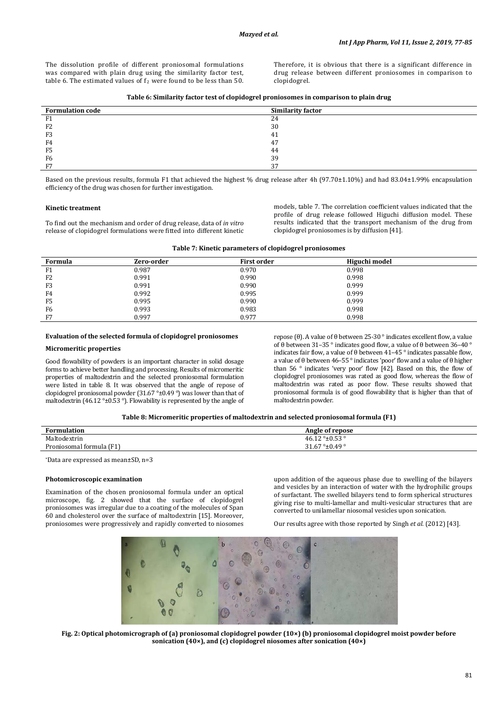The dissolution profile of different proniosomal formulations was compared with plain drug using the similarity factor test, table 6. The estimated values of  $t_2$  were found to be less than 50. Therefore, it is obvious that there is a significant difference in drug release between different proniosomes in comparison to clopidogrel.

| Table 6: Similarity factor test of clopidogrel proniosomes in comparison to plain drug |  |  |  |
|----------------------------------------------------------------------------------------|--|--|--|
|                                                                                        |  |  |  |

| <b>Formulation code</b> | <b>Similarity factor</b> |
|-------------------------|--------------------------|
| F1                      | 4                        |
| F <sub>2</sub>          | 30                       |
| F <sub>3</sub>          | 41                       |
| F4                      | 47                       |
| F <sub>5</sub>          | 44                       |
| F6                      | 39                       |
| F7                      | 37                       |

Based on the previous results, formula F1 that achieved the highest % drug release after 4h (97.70±1.10%) and had 83.04±1.99% encapsulation efficiency of the drug was chosen for further investigation.

#### **Kinetic treatment**

To find out the mechanism and order of drug release, data of *in vitro* release of clopidogrel formulations were fitted into different kinetic models, table 7. The correlation coefficient values indicated that the profile of drug release followed Higuchi diffusion model. These results indicated that the transport mechanism of the drug from clopidogrel proniosomes is by diffusion [41].

| Table 7: Kinetic parameters of clopidogrel proniosomes |  |  |
|--------------------------------------------------------|--|--|
|--------------------------------------------------------|--|--|

| Formula        | Zero-order | <b>First order</b> | Higuchi model |  |
|----------------|------------|--------------------|---------------|--|
| F <sub>1</sub> | 0.987      | 0.970              | 0.998         |  |
| F <sub>2</sub> | 0.991      | 0.990              | 0.998         |  |
| F <sub>3</sub> | 0.991      | 0.990              | 0.999         |  |
| F4             | 0.992      | 0.995              | 0.999         |  |
| F5             | 0.995      | 0.990              | 0.999         |  |
| F6             | 0.993      | 0.983              | 0.998         |  |
| F7             | 0.997      | 0.977              | 0.998         |  |

# **Evaluation of the selected formula of clopidogrel proniosomes**

# **Micromeritic properties**

Good flowability of powders is an important character in solid dosage forms to achieve better handling and processing. Results of micromeritic properties of maltodextrin and the selected proniosomal formulation were listed in table 8. It was observed that the angle of repose of clopidogrel proniosomal powder (31.67 °±0.49 °) was lower than that of maltodextrin (46.12 °±0.53 °). Flowability is represented by the angle of

repose (θ). A value of θ between 25-30 ° indicates excellent flow, a value of θ between 31–35 ° indicates good flow, a value of θ between 36–40 ° indicates fair flow, a value of θ between 41–45 ° indicates passable flow, a value of θ between 46–55  $^{\circ}$  indicates 'poor' flow and a value of θ higher than 56 ° indicates 'very poor' flow [42]. Based on this, the flow of clopidogrel proniosomes was rated as good flow, whereas the flow of maltodextrin was rated as poor flow. These results showed that proniosomal formula is of good flowability that is higher than that of maltodextrin powder.

**Table 8: Micromeritic properties of maltodextrin and selected proniosomal formula (F1)**

| <b>Formulation</b>             | Angle of repose                  |
|--------------------------------|----------------------------------|
| Maltodovtrin<br>.              | $46.12^{\circ}$ ± $0.53^{\circ}$ |
| . (F1`<br>-Proniosomal formula | 31.67 ° $\pm$ 0.49 °             |
|                                |                                  |

*P* \**P*Data are expressed as mean±SD, n=3

#### **Photomicroscopic examination**

Examination of the chosen proniosomal formula under an optical microscope, fig. 2 showed that the surface of clopidogrel proniosomes was irregular due to a coating of the molecules of Span 60 and cholesterol over the surface of maltodextrin [15]. Moreover, proniosomes were progressively and rapidly converted to niosomes

upon addition of the aqueous phase due to swelling of the bilayers and vesicles by an interaction of water with the hydrophilic groups of surfactant. The swelled bilayers tend to form spherical structures giving rise to multi-lamellar and multi-vesicular structures that are converted to unilamellar niosomal vesicles upon sonication.

Our results agree with those reported by Singh *et al.* (2012) [43].



**Fig. 2: Optical photomicrograph of (a) proniosomal clopidogrel powder (10×) (b) proniosomal clopidogrel moist powder before sonication (40×), and (c) clopidogrel niosomes after sonication (40×)**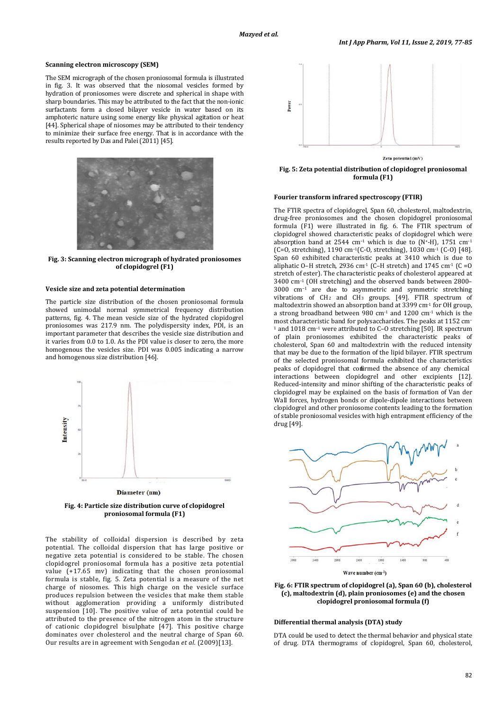# **Scanning electron microscopy (SEM)**

The SEM micrograph of the chosen proniosomal formula is illustrated in fig. 3. It was observed that the niosomal vesicles formed by hydration of proniosomes were discrete and spherical in shape with sharp boundaries. This may be attributed to the fact that the non-ionic surfactants form a closed bilayer vesicle in water based on its amphoteric nature using some energy like physical agitation or heat [44]. Spherical shape of niosomes may be attributed to their tendency to minimize their surface free energy. That is in accordance with the results reported by Das and Palei (2011) [45].



**Fig. 3: Scanning electron micrograph of hydrated proniosomes of clopidogrel (F1)**

#### **Vesicle size and zeta potential determination**

The particle size distribution of the chosen proniosomal formula showed unimodal normal symmetrical frequency distribution patterns, fig. 4. The mean vesicle size of the hydrated clopidogrel proniosomes was 217.9 nm. The polydispersity index, PDI, is an important parameter that describes the vesicle size distribution and it varies from 0.0 to 1.0. As the PDI value is closer to zero, the more homogenous the vesicles size. PDI was 0.005 indicating a narrow and homogenous size distribution [46].



Diameter (nm)

**Fig. 4: Particle size distribution curve of clopidogrel proniosomal formula (F1)**

The stability of colloidal dispersion is described by zeta potential. The colloidal dispersion that has large positive or negative zeta potential is considered to be stable. The chosen clopidogrel proniosomal formula has a positive zeta potential value (+17.65 mv) indicating that the chosen proniosomal formula is stable, fig. 5. Zeta potential is a measure of the net charge of niosomes. This high charge on the vesicle surface produces repulsion between the vesicles that make them stable without agglomeration providing a uniformly distributed suspension [10]. The positive value of zeta potential could be attributed to the presence of the nitrogen atom in the structure of cationic clopidogrel bisulphate [47]. This positive charge dominates over cholesterol and the neutral charge of Span 60. Our results are in agreement with Sengodan *et al.* (2009)[13].



**Fig. 5: Zeta potential distribution of clopidogrel proniosomal formula (F1)**

#### **Fourier transform infrared spectroscopy (FTIR)**

The FTIR spectra of clopidogrel, Span 60, cholesterol, maltodextrin, drug-free proniosomes and the chosen clopidogrel proniosomal formula (F1) were illustrated in fig. 6. The FTIR spectrum of clopidogrel showed characteristic peaks of clopidogrel which were absorption band at 2544 cm<sup>-1</sup> which is due to  $(N^+$ -H), 1751 cm<sup>-1</sup> (C=O, stretching), 1190 cm–1(C-O, stretching), 1030 cm-1 (C-O) [48]. Span 60 exhibited characteristic peaks at 3410 which is due to aliphatic O–H stretch, 2936 cm<sup>-1</sup> (C–H stretch) and 1745 cm<sup>-1</sup> (C = 0 stretch of ester). The characteristic peaks of cholesterol appeared at 3400 cm–1 (OH stretching) and the observed bands between 2800– 3000 cm<sup>−</sup><sup>1</sup> are due to asymmetric and symmetric stretching vibrations of  $CH_2$  and  $CH_3$  groups. [49]. FTIR spectrum of maltodextrin showed an absorption band at 3399 cm-1 for OH group, a strong broadband between  $980 \text{ cm}^{-1}$  and  $1200 \text{ cm}^{-1}$  which is the most characteristic band for polysaccharides. The peaks at 1152 cm–  $\frac{1}{2}$  and 1018 cm<sup>-1</sup> were attributed to C–O stretching [50]. IR spectrum of plain proniosomes exhibited the characteristic peaks of cholesterol, Span 60 and maltodextrin with the reduced intensity that may be due to the formation of the lipid bilayer. FTIR spectrum of the selected proniosomal formula exhibited the characteristics peaks of clopidogrel that confirmed the absence of any chemical interactions between clopidogrel and other excipients [12]. Reduced-intensity and minor shifting of the characteristic peaks of clopidogrel may be explained on the basis of formation of Van der Wall forces, hydrogen bonds or dipole-dipole interactions between clopidogrel and other proniosome contents leading to the formation of stable proniosomal vesicles with high entrapment efficiency of the drug [49].



Wave number (cm-1)

**Fig. 6: FTIR spectrum of clopidogrel (a), Span 60 (b), cholesterol (c), maltodextrin (d), plain proniosomes (e) and the chosen clopidogrel proniosomal formula (f)**

# **Differential thermal analysis (DTA) study**

DTA could be used to detect the thermal behavior and physical state of drug. DTA thermograms of clopidogrel, Span 60, cholesterol,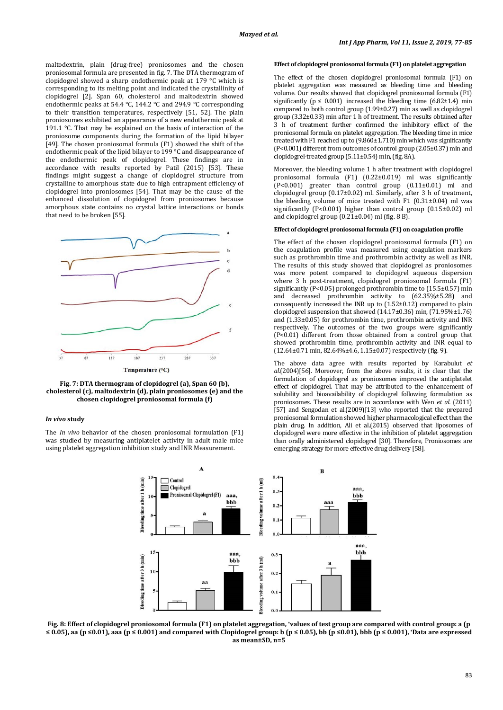maltodextrin, plain (drug-free) proniosomes and the chosen proniosomal formula are presented in fig. 7. The DTA thermogram of clopidogrel showed a sharp endothermic peak at 179 °C which is corresponding to its melting point and indicated the crystallinity of clopidogrel [2]. Span 60, cholesterol and maltodextrin showed endothermic peaks at 54.4 °C, 144.2 °C and 294.9 °C corresponding to their transition temperatures, respectively [51, 52]. The plain proniosomes exhibited an appearance of a new endothermic peak at 191.1 °C. That may be explained on the basis of interaction of the proniosome components during the formation of the lipid bilayer [49]. The chosen proniosomal formula (F1) showed the shift of the endothermic peak of the lipid bilayer to 199 °C and disappearance of the endothermic peak of clopidogrel. These findings are in accordance with results reported by Patil (2015) [53]. These findings might suggest a change of clopidogrel structure from crystalline to amorphous state due to high entrapment efficiency of clopidogrel into proniosomes [54]. That may be the cause of the enhanced dissolution of clopidogrel from proniosomes because amorphous state contains no crystal lattice interactions or bonds that need to be broken [55].



**Fig. 7: DTA thermogram of clopidogrel (a), Span 60 (b), cholesterol (c), maltodextrin (d), plain proniosomes (e) and the chosen clopidogrel proniosomal formula (f)**

# *In vivo* **study**

The *In vivo* behavior of the chosen proniosomal formulation (F1) was studied by measuring antiplatelet activity in adult male mice using platelet aggregation inhibition study and INR Measurement.

#### **Effect of clopidogrel proniosomal formula (F1) on platelet aggregation**

The effect of the chosen clopidogrel proniosomal formula (F1) on platelet aggregation was measured as bleeding time and bleeding volume. Our results showed that clopidogrel proniosomal formula (F1) significantly ( $p \le 0.001$ ) increased the bleeding time (6.82 $\pm$ 1.4) min compared to both control group (1.99±0.27) min as well as clopidogrel group (3.32±0.33) min after 1 h of treatment. The results obtained after 3 h of treatment further confirmed the inhibitory effect of the proniosomal formula on platelet aggregation. The bleeding time in mice treated with F1 reached up to (9.860±1.710) min which was significantly (P<0.001) different from outcomes of control group (2.05±0.37) min and clopidogrel-treated group (5.11±0.54) min,(fig. 8A).

Moreover, the bleeding volume 1 h after treatment with clopidogrel proniosomal formula (F1) (0.22±0.019) ml was significantly (P<0.001) greater than control group (0.11±0.01) ml and clopidogrel group (0.17±0.02) ml. Similarly, after 3 h of treatment, the bleeding volume of mice treated with F1 (0.31±0.04) ml was significantly (P<0.001) higher than control group (0.15±0.02) ml and clopidogrel group (0.21±0.04) ml (fig. 8 B).

# **Effect of clopidogrel proniosomalformula (F1) on coagulation profile**

The effect of the chosen clopidogrel proniosomal formula (F1) on the coagulation profile was measured using coagulation markers such as prothrombin time and prothrombin activity as well as INR. The results of this study showed that clopidogrel as proniosomes was more potent compared to clopidogrel aqueous dispersion where 3 h post-treatment, clopidogrel proniosomal formula (F1) significantly (P<0.05) prolonged prothrombin time to (15.5±0.57) min and decreased prothrombin activity to (62.35%±5.28) and consequently increased the INR up to (1.52±0.12) compared to plain clopidogrel suspension that showed (14.17±0.36) min, (71.95%±1.76) and (1.33±0.05) for prothrombin time, prothrombin activity and INR respectively. The outcomes of the two groups were significantly (P<0.01) different from those obtained from a control group that showed prothrombin time, prothrombin activity and INR equal to (12.64±0.71 min, 82.64%±4.6, 1.15±0.07) respectively (fig. 9).

The above data agree with results reported by Karabulut *et al.*(2004)[56]. Moreover, from the above results, it is clear that the formulation of clopidogrel as proniosomes improved the antiplatelet effect of clopidogrel. That may be attributed to the enhancement of solubility and bioavailability of clopidogrel following formulation as proniosomes. These results are in accordance with Wen *et al.* (2011) [57] and Sengodan et al.(2009)[13] who reported that the prepared proniosomal formulation showed higher pharmacological effect than the plain drug. In addition, Ali et al.(2015) observed that liposomes of clopidogrel were more effective in the inhibition of platelet aggregation than orally administered clopidogrel [30]. Therefore, Proniosomes are emerging strategy for more effective drug delivery [58].



**Fig. 8: Effect of clopidogrel proniosomal formula (F1) on platelet aggregation,** *<sup>P</sup>* **\****P***values of test group are compared with control group: a (p**  ≤ 0.05), aa (p ≤0.01), aaa (p ≤ 0.001) and compared with Clopidogrel group: b (p ≤ 0.05), bb (p ≤0.01), bbb (p ≤ 0.001), \*Data are expressed **as mean±SD, n=5**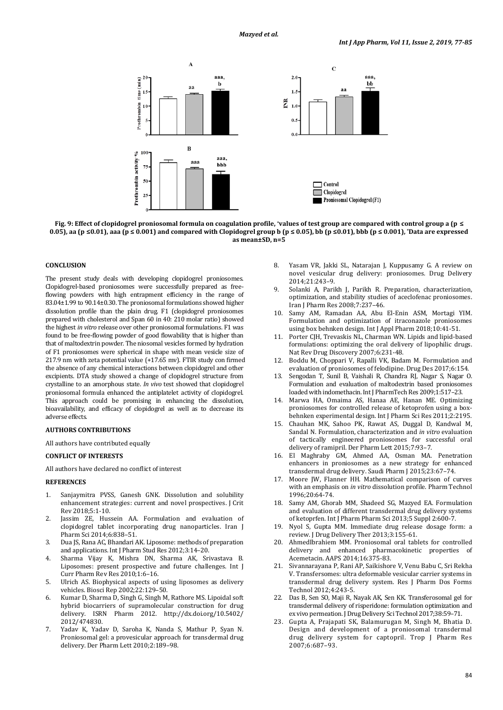



# **CONCLUSION**

The present study deals with developing clopidogrel proniosomes. Clopidogrel-based proniosomes were successfully prepared as freeflowing powders with high entrapment efficiency in the range of 83.04±1.99 to 90.14±0.30. The proniosomal formulations showed higher dissolution profile than the plain drug. F1 (clopidogrel proniosomes prepared with cholesterol and Span 60 in 40: 210 molar ratio) showed the highest *in vitro* release over other proniosomal formulations. F1 was found to be free-flowing powder of good flowability that is higher than that of maltodextrin powder. The niosomal vesicles formed by hydration of F1 proniosomes were spherical in shape with mean vesicle size of 217.9 nm with zeta potential value (+17.65 mv). FTIR study con firmed the absence of any chemical interactions between clopidogrel and other excipients. DTA study showed a change of clopidogrel structure from crystalline to an amorphous state. *In vivo* test showed that clopidogrel proniosomal formula enhanced the antiplatelet activity of clopidogrel. This approach could be promising in enhancing the dissolution, bioavailability, and efficacy of clopidogrel as well as to decrease its adverse effects.

#### **AUTHORS CONTRIBUTIONS**

All authors have contributed equally

#### **CONFLICT OF INTERESTS**

All authors have declared no conflict ofinterest

# **REFERENCES**

- 1. Sanjaymitra PVSS, Ganesh GNK. Dissolution and solubility enhancement strategies: current and novel prospectives. J Crit Rev 2018;5:1-10.
- 2. Jassim ZE, Hussein AA. Formulation and evaluation of clopidogrel tablet incorporating drug nanoparticles. Iran J Pharm Sci 2014;6:838–51.
- 3. Dua JS, Rana AC, Bhandari AK. Liposome: methods of preparation and applications. Int J Pharm Stud Res 2012;3:14–20.
- 4. Sharma Vijay K, Mishra DN, Sharma AK, Srivastava B. Liposomes: present prospective and future challenges. Int J Curr Pharm Rev Res 2010;1:6–16.
- 5. Ulrich AS. Biophysical aspects of using liposomes as delivery vehicles. Biosci Rep 2002;22:129–50.
- 6. Kumar D, Sharma D, Singh G, Singh M, Rathore MS. Lipoidal soft hybrid biocarriers of supramolecular construction for drug delivery. ISRN Pharm 2012. http://dx.doi.org/10.5402/ 2012/474830.
- 7. Yadav K, Yadav D, Saroha K, Nanda S, Mathur P, Syan N. Proniosomal gel: a provesicular approach for transdermal drug delivery. Der Pharm Lett 2010;2:189–98.
- 8. Yasam VR, Jakki SL, Natarajan J, Kuppusamy G. A review on novel vesicular drug delivery: proniosomes. Drug Delivery 2014;21:243–9.
- 9. Solanki A, Parikh J, Parikh R. Preparation, characterization, optimization, and stability studies of aceclofenac proniosomes. Iran J Pharm Res 2008;7:237–46.
- 10. Samy AM, Ramadan AA, Abu El-Enin ASM, Mortagi YIM. Formulation and optimization of itraconazole proniosomes using box behnken design. Int J Appl Pharm 2018;10:41-51.
- 11. Porter CJH, Trevaskis NL, Charman WN. Lipids and lipid-based formulations: optimizing the oral delivery of lipophilic drugs. Nat Rev Drug Discovery 2007;6:231-48.
- 12. Boddu M, Choppari V, Rapalli VK, Badam M. Formulation and evaluation of proniosomes of felodipine. Drug Des 2017;6:154.
- 13. Sengodan T, Sunil B, Vaishali R, Chandra RJ, Nagar S, Nagar O. Formulation and evaluation of maltodextrin based proniosomes loaded with indomethacin. Int J PharmTech Res 2009;1:517–23.
- 14. Marwa HA, Omaima AS, Hanaa AE, Hanan ME. Optimizing proniosomes for controlled release of ketoprofen using a boxbehnken experimental design. Int J Pharm Sci Res 2011;2:2195.
- 15. Chauhan MK, Sahoo PK, Rawat AS, Duggal D, Kandwal M, Sandal N. Formulation, characterization and *in vitro* evaluation of tactically engineered proniosomes for successful oral delivery of ramipril. Der Pharm Lett 2015;7:93–7.
- 16. El Maghraby GM, Ahmed AA, Osman MA. Penetration enhancers in proniosomes as a new strategy for enhanced transdermal drug delivery. Saudi Pharm J 2015;23:67–74.
- 17. Moore JW, Flanner HH. Mathematical comparison of curves with an emphasis on *in vitro* dissolution profile. Pharm Technol 1996;20:64-74.
- 18. Samy AM, Ghorab MM, Shadeed SG, Mazyed EA. Formulation and evaluation of different transdermal drug delivery systems of ketoprfen. Int J Pharm Pharm Sci 2013;5 Suppl 2:600-7.
- 19. Nyol S, Gupta MM. Immediate drug release dosage form: a review. J Drug Delivery Ther 2013;3:155-61.
- 20. AhmedIbrahiem MM. Proniosomal oral tablets for controlled delivery and enhanced pharmacokinetic properties of Acemetacin. AAPS 2014;16:375-83.
- 21. Sivannarayana P, Rani AP, Saikishore V, Venu Babu C, Sri Rekha V. Transfersomes: ultra deformable vesicular carrier systems in transdermal drug delivery system. Res J Pharm Dos Forms Technol 2012;4:243-5.
- 22. Das B, Sen SO, Maji R, Nayak AK, Sen KK. Transferosomal gel for transdermal delivery of risperidone: formulation optimization and ex vivo permeation. J Drug Delivery Sci Technol 2017;38:59–71.
- 23. Gupta A, Prajapati SK, Balamurugan M, Singh M, Bhatia D. Design and development of a proniosomal transdermal drug delivery system for captopril. Trop J Pharm Res 2007;6:687–93.